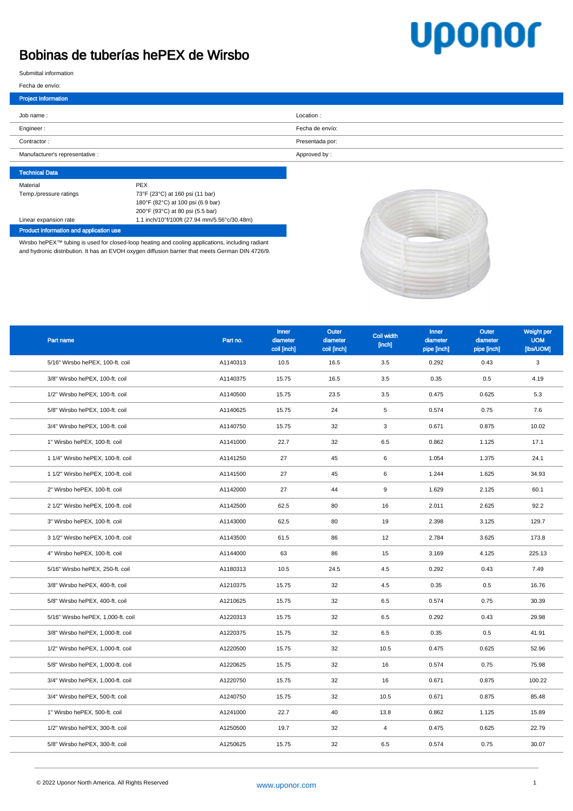## Bobinas de tuberías hePEX de Wirsbo

## uponor

Submittal information

| <b>Project Information</b>      |                 |
|---------------------------------|-----------------|
| Job name:                       | Location:       |
| Engineer:                       | Fecha de envío: |
| Contractor:                     | Presentada por: |
| Manufacturer's representative : | Approved by:    |

| <b>Technical Data</b>  |                                              |
|------------------------|----------------------------------------------|
| Material               | <b>PEX</b>                                   |
| Temp./pressure ratings | 73°F (23°C) at 160 psi (11 bar)              |
|                        | 180°F (82°C) at 100 psi (6.9 bar)            |
|                        | 200°F (93°C) at 80 psi (5.5 bar)             |
| Linear expansion rate  | 1.1 inch/10°f/100ft (27.94 mm/5.56°c/30.48m) |
|                        |                                              |

duct information and application use

Wirsbo hePEX™ tubing is used for closed-loop heating and cooling applications, including radiant and hydronic distribution. It has an EVOH oxygen diffusion barrier that meets German DIN 4726/9.



| Part name                          | Part no. | <b>Inner</b><br>diameter<br>coil [inch] | Outer<br>diameter<br>coil [inch] | Coil width<br>[inch] | Inner<br>diameter<br>pipe [inch] | Outer<br>diameter<br>pipe [inch] | Weight per<br><b>UOM</b><br>[lbs/UOM] |
|------------------------------------|----------|-----------------------------------------|----------------------------------|----------------------|----------------------------------|----------------------------------|---------------------------------------|
| 5/16" Wirsbo hePEX, 100-ft. coil   | A1140313 | 10.5                                    | 16.5                             | 3.5                  | 0.292                            | 0.43                             | 3                                     |
| 3/8" Wirsbo hePEX, 100-ft. coil    | A1140375 | 15.75                                   | 16.5                             | 3.5                  | 0.35                             | 0.5                              | 4.19                                  |
| 1/2" Wirsbo hePEX, 100-ft. coil    | A1140500 | 15.75                                   | 23.5                             | 3.5                  | 0.475                            | 0.625                            | 5.3                                   |
| 5/8" Wirsbo hePEX, 100-ft. coil    | A1140625 | 15.75                                   | 24                               | 5                    | 0.574                            | 0.75                             | 7.6                                   |
| 3/4" Wirsbo hePEX, 100-ft. coil    | A1140750 | 15.75                                   | 32                               | 3                    | 0.671                            | 0.875                            | 10.02                                 |
| 1" Wirsbo hePEX, 100-ft. coil      | A1141000 | 22.7                                    | 32                               | 6.5                  | 0.862                            | 1.125                            | 17.1                                  |
| 1 1/4" Wirsbo hePEX, 100-ft. coil  | A1141250 | 27                                      | 45                               | 6                    | 1.054                            | 1.375                            | 24.1                                  |
| 1 1/2" Wirsbo hePEX, 100-ft. coil  | A1141500 | 27                                      | 45                               | 6                    | 1.244                            | 1.625                            | 34.93                                 |
| 2" Wirsbo hePEX, 100-ft. coil      | A1142000 | 27                                      | 44                               | 9                    | 1.629                            | 2.125                            | 60.1                                  |
| 2 1/2" Wirsbo hePEX, 100-ft. coil  | A1142500 | 62.5                                    | 80                               | 16                   | 2.011                            | 2.625                            | 92.2                                  |
| 3" Wirsbo hePEX, 100-ft. coil      | A1143000 | 62.5                                    | 80                               | 19                   | 2.398                            | 3.125                            | 129.7                                 |
| 3 1/2" Wirsbo hePEX, 100-ft. coil  | A1143500 | 61.5                                    | 86                               | 12                   | 2.784                            | 3.625                            | 173.8                                 |
| 4" Wirsbo hePEX, 100-ft. coil      | A1144000 | 63                                      | 86                               | 15                   | 3.169                            | 4.125                            | 225.13                                |
| 5/16" Wirsbo hePEX, 250-ft. coil   | A1180313 | 10.5                                    | 24.5                             | 4.5                  | 0.292                            | 0.43                             | 7.49                                  |
| 3/8" Wirsbo hePEX, 400-ft. coil    | A1210375 | 15.75                                   | 32                               | 4.5                  | 0.35                             | 0.5                              | 16.76                                 |
| 5/8" Wirsbo hePEX, 400-ft. coil    | A1210625 | 15.75                                   | 32                               | 6.5                  | 0.574                            | 0.75                             | 30.39                                 |
| 5/16" Wirsbo hePEX, 1,000-ft. coil | A1220313 | 15.75                                   | 32                               | 6.5                  | 0.292                            | 0.43                             | 29.98                                 |
| 3/8" Wirsbo hePEX, 1,000-ft. coil  | A1220375 | 15.75                                   | 32                               | 6.5                  | 0.35                             | 0.5                              | 41.91                                 |
| 1/2" Wirsbo hePEX, 1,000-ft. coil  | A1220500 | 15.75                                   | 32                               | 10.5                 | 0.475                            | 0.625                            | 52.96                                 |
| 5/8" Wirsbo hePEX, 1,000-ft. coil  | A1220625 | 15.75                                   | 32                               | 16                   | 0.574                            | 0.75                             | 75.98                                 |
| 3/4" Wirsbo hePEX, 1,000-ft. coil  | A1220750 | 15.75                                   | 32                               | 16                   | 0.671                            | 0.875                            | 100.22                                |
| 3/4" Wirsbo hePEX, 500-ft. coil    | A1240750 | 15.75                                   | 32                               | 10.5                 | 0.671                            | 0.875                            | 85.48                                 |
| 1" Wirsbo hePEX, 500-ft. coil      | A1241000 | 22.7                                    | 40                               | 13.8                 | 0.862                            | 1.125                            | 15.89                                 |
| 1/2" Wirsbo hePEX, 300-ft. coil    | A1250500 | 19.7                                    | 32                               | $\overline{4}$       | 0.475                            | 0.625                            | 22.79                                 |
| 5/8" Wirsbo hePEX, 300-ft. coil    | A1250625 | 15.75                                   | 32                               | 6.5                  | 0.574                            | 0.75                             | 30.07                                 |
|                                    |          |                                         |                                  |                      |                                  |                                  |                                       |